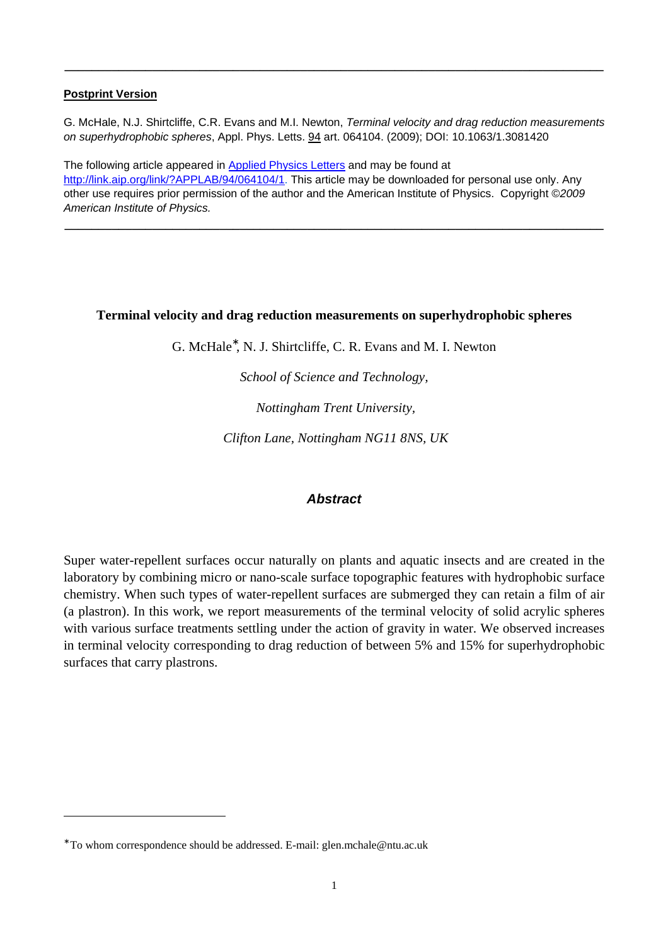#### **Postprint Version**

G. McHale, N.J. Shirtcliffe, C.R. Evans and M.I. Newton, Terminal velocity and drag reduction measurements on superhydrophobic spheres, Appl. Phys. Letts. 94 art. 064104. (2009); DOI: 10.1063/1.3081420

**\_\_\_\_\_\_\_\_\_\_\_\_\_\_\_\_\_\_\_\_\_\_\_\_\_\_\_\_\_\_\_\_\_\_\_\_\_\_\_\_\_\_\_\_\_\_\_\_\_\_\_\_\_\_\_\_\_\_\_\_\_\_\_\_\_\_\_\_\_\_\_\_\_\_\_\_\_\_\_\_** 

The following article appeared in Applied Physics Letters and may be found at http://link.aip.org/link/?APPLAB/94/064104/1. This article may be downloaded for personal use only. Any other use requires prior permission of the author and the American Institute of Physics. Copyright ©2009 American Institute of Physics.

**\_\_\_\_\_\_\_\_\_\_\_\_\_\_\_\_\_\_\_\_\_\_\_\_\_\_\_\_\_\_\_\_\_\_\_\_\_\_\_\_\_\_\_\_\_\_\_\_\_\_\_\_\_\_\_\_\_\_\_\_\_\_\_\_\_\_\_\_\_\_\_\_\_\_\_\_\_\_\_\_** 

### **Terminal velocity and drag reduction measurements on superhydrophobic spheres**

G. McHale<sup>∗</sup> , N. J. Shirtcliffe, C. R. Evans and M. I. Newton

*School of Science and Technology,* 

 *Nottingham Trent University,* 

 *Clifton Lane, Nottingham NG11 8NS, UK* 

# **Abstract**

Super water-repellent surfaces occur naturally on plants and aquatic insects and are created in the laboratory by combining micro or nano-scale surface topographic features with hydrophobic surface chemistry. When such types of water-repellent surfaces are submerged they can retain a film of air (a plastron). In this work, we report measurements of the terminal velocity of solid acrylic spheres with various surface treatments settling under the action of gravity in water. We observed increases in terminal velocity corresponding to drag reduction of between 5% and 15% for superhydrophobic surfaces that carry plastrons.

 $\overline{a}$ 

<sup>∗</sup> To whom correspondence should be addressed. E-mail: glen.mchale@ntu.ac.uk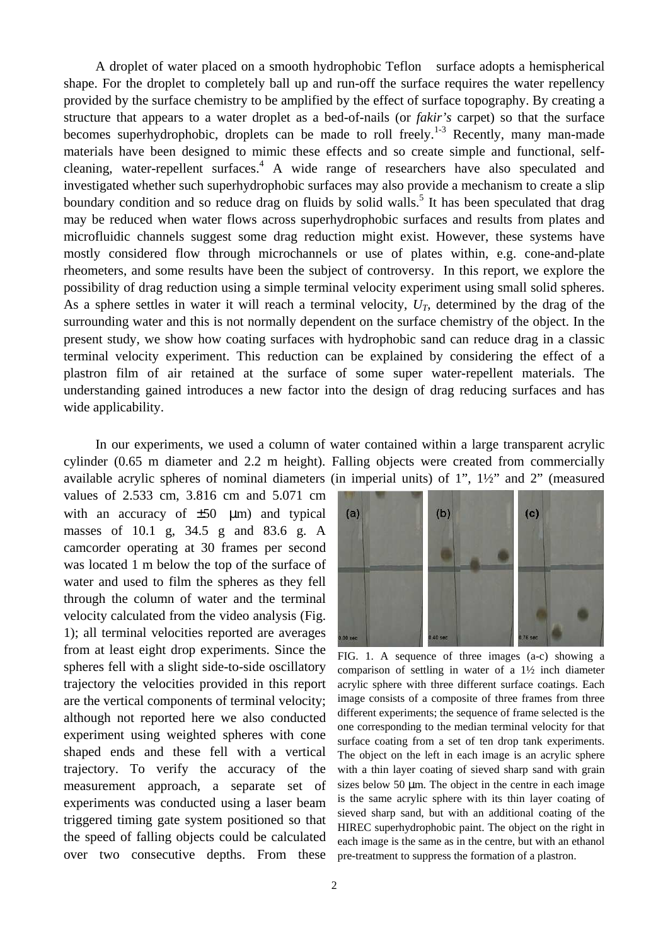A droplet of water placed on a smooth hydrophobic Teflon  $\mathscr P$  surface adopts a hemispherical shape. For the droplet to completely ball up and run-off the surface requires the water repellency provided by the surface chemistry to be amplified by the effect of surface topography. By creating a structure that appears to a water droplet as a bed-of-nails (or *fakir's* carpet) so that the surface becomes superhydrophobic, droplets can be made to roll freely.<sup>1-3</sup> Recently, many man-made materials have been designed to mimic these effects and so create simple and functional, selfcleaning, water-repellent surfaces.<sup>4</sup> A wide range of researchers have also speculated and investigated whether such superhydrophobic surfaces may also provide a mechanism to create a slip boundary condition and so reduce drag on fluids by solid walls.<sup>5</sup> It has been speculated that drag may be reduced when water flows across superhydrophobic surfaces and results from plates and microfluidic channels suggest some drag reduction might exist. However, these systems have mostly considered flow through microchannels or use of plates within, e.g. cone-and-plate rheometers, and some results have been the subject of controversy. In this report, we explore the possibility of drag reduction using a simple terminal velocity experiment using small solid spheres. As a sphere settles in water it will reach a terminal velocity,  $U_T$ , determined by the drag of the surrounding water and this is not normally dependent on the surface chemistry of the object. In the present study, we show how coating surfaces with hydrophobic sand can reduce drag in a classic terminal velocity experiment. This reduction can be explained by considering the effect of a plastron film of air retained at the surface of some super water-repellent materials. The understanding gained introduces a new factor into the design of drag reducing surfaces and has wide applicability.

In our experiments, we used a column of water contained within a large transparent acrylic cylinder (0.65 m diameter and 2.2 m height). Falling objects were created from commercially available acrylic spheres of nominal diameters (in imperial units) of 1", 1½" and 2" (measured

values of 2.533 cm, 3.816 cm and 5.071 cm with an accuracy of  $\pm 50$  µm) and typical masses of 10.1 g, 34.5 g and 83.6 g. A camcorder operating at 30 frames per second was located 1 m below the top of the surface of water and used to film the spheres as they fell through the column of water and the terminal velocity calculated from the video analysis (Fig. 1); all terminal velocities reported are averages from at least eight drop experiments. Since the spheres fell with a slight side-to-side oscillatory trajectory the velocities provided in this report are the vertical components of terminal velocity; although not reported here we also conducted experiment using weighted spheres with cone shaped ends and these fell with a vertical trajectory. To verify the accuracy of the measurement approach, a separate set of experiments was conducted using a laser beam triggered timing gate system positioned so that the speed of falling objects could be calculated over two consecutive depths. From these



FIG. 1. A sequence of three images (a-c) showing a comparison of settling in water of a 1½ inch diameter acrylic sphere with three different surface coatings. Each image consists of a composite of three frames from three different experiments; the sequence of frame selected is the one corresponding to the median terminal velocity for that surface coating from a set of ten drop tank experiments. The object on the left in each image is an acrylic sphere with a thin layer coating of sieved sharp sand with grain sizes below 50  $\mu$ m. The object in the centre in each image is the same acrylic sphere with its thin layer coating of sieved sharp sand, but with an additional coating of the HIREC superhydrophobic paint. The object on the right in each image is the same as in the centre, but with an ethanol pre-treatment to suppress the formation of a plastron.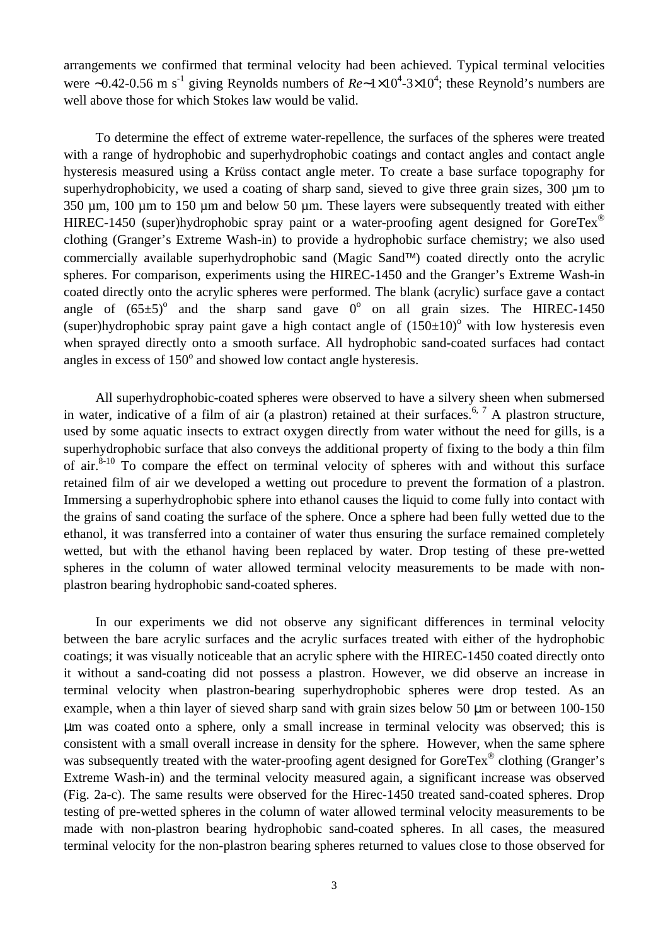arrangements we confirmed that terminal velocity had been achieved. Typical terminal velocities were ~0.42-0.56 m s<sup>-1</sup> giving Reynolds numbers of  $Re~1\times10^4$ -3×10<sup>4</sup>; these Reynold's numbers are well above those for which Stokes law would be valid.

To determine the effect of extreme water-repellence, the surfaces of the spheres were treated with a range of hydrophobic and superhydrophobic coatings and contact angles and contact angle hysteresis measured using a Krüss contact angle meter. To create a base surface topography for superhydrophobicity, we used a coating of sharp sand, sieved to give three grain sizes, 300 µm to 350 µm, 100 µm to 150 µm and below 50 µm. These layers were subsequently treated with either HIREC-1450 (super)hydrophobic spray paint or a water-proofing agent designed for GoreTex<sup>®</sup> clothing (Granger's Extreme Wash-in) to provide a hydrophobic surface chemistry; we also used commercially available superhydrophobic sand (Magic Sand<sup>™)</sup> coated directly onto the acrylic spheres. For comparison, experiments using the HIREC-1450 and the Granger's Extreme Wash-in coated directly onto the acrylic spheres were performed. The blank (acrylic) surface gave a contact angle of  $(65\pm5)^{\circ}$  and the sharp sand gave  $0^{\circ}$  on all grain sizes. The HIREC-1450 (super)hydrophobic spray paint gave a high contact angle of  $(150\pm10)^{\circ}$  with low hysteresis even when sprayed directly onto a smooth surface. All hydrophobic sand-coated surfaces had contact angles in excess of  $150^{\circ}$  and showed low contact angle hysteresis.

All superhydrophobic-coated spheres were observed to have a silvery sheen when submersed in water, indicative of a film of air (a plastron) retained at their surfaces.<sup>6, 7</sup> A plastron structure, used by some aquatic insects to extract oxygen directly from water without the need for gills, is a superhydrophobic surface that also conveys the additional property of fixing to the body a thin film of air. $8-10$  To compare the effect on terminal velocity of spheres with and without this surface retained film of air we developed a wetting out procedure to prevent the formation of a plastron. Immersing a superhydrophobic sphere into ethanol causes the liquid to come fully into contact with the grains of sand coating the surface of the sphere. Once a sphere had been fully wetted due to the ethanol, it was transferred into a container of water thus ensuring the surface remained completely wetted, but with the ethanol having been replaced by water. Drop testing of these pre-wetted spheres in the column of water allowed terminal velocity measurements to be made with nonplastron bearing hydrophobic sand-coated spheres.

In our experiments we did not observe any significant differences in terminal velocity between the bare acrylic surfaces and the acrylic surfaces treated with either of the hydrophobic coatings; it was visually noticeable that an acrylic sphere with the HIREC-1450 coated directly onto it without a sand-coating did not possess a plastron. However, we did observe an increase in terminal velocity when plastron-bearing superhydrophobic spheres were drop tested. As an example, when a thin layer of sieved sharp sand with grain sizes below 50 µm or between 100-150 µm was coated onto a sphere, only a small increase in terminal velocity was observed; this is consistent with a small overall increase in density for the sphere. However, when the same sphere was subsequently treated with the water-proofing agent designed for GoreTex® clothing (Granger's Extreme Wash-in) and the terminal velocity measured again, a significant increase was observed (Fig. 2a-c). The same results were observed for the Hirec-1450 treated sand-coated spheres. Drop testing of pre-wetted spheres in the column of water allowed terminal velocity measurements to be made with non-plastron bearing hydrophobic sand-coated spheres. In all cases, the measured terminal velocity for the non-plastron bearing spheres returned to values close to those observed for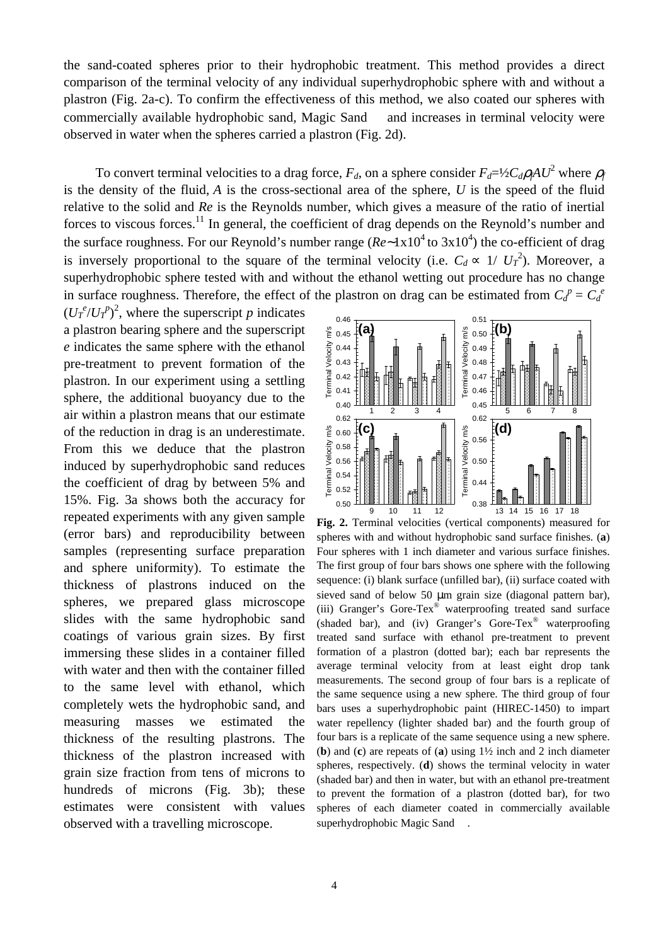the sand-coated spheres prior to their hydrophobic treatment. This method provides a direct comparison of the terminal velocity of any individual superhydrophobic sphere with and without a plastron (Fig. 2a-c). To confirm the effectiveness of this method, we also coated our spheres with commercially available hydrophobic sand, Magic Sand  $TM$  and increases in terminal velocity were observed in water when the spheres carried a plastron (Fig. 2d).

To convert terminal velocities to a drag force,  $F_d$ , on a sphere consider  $F_d = \frac{1}{2}C_d \rho_f A U^2$  where  $\rho_f$ is the density of the fluid, *A* is the cross-sectional area of the sphere, *U* is the speed of the fluid relative to the solid and *Re* is the Reynolds number, which gives a measure of the ratio of inertial forces to viscous forces.<sup>11</sup> In general, the coefficient of drag depends on the Reynold's number and the surface roughness. For our Reynold's number range ( $Re~1x10^4$  to 3x10<sup>4</sup>) the co-efficient of drag is inversely proportional to the square of the terminal velocity (i.e.  $C_d \propto 1/\left U_T^2\right)$ ). Moreover, a superhydrophobic sphere tested with and without the ethanol wetting out procedure has no change in surface roughness. Therefore, the effect of the plastron on drag can be estimated from  $C_d^p = C_d^e$ 

 $(U_T^e/U_T^p)^2$ , where the superscript *p* indicates a plastron bearing sphere and the superscript *e* indicates the same sphere with the ethanol pre-treatment to prevent formation of the plastron. In our experiment using a settling sphere, the additional buoyancy due to the air within a plastron means that our estimate of the reduction in drag is an underestimate. From this we deduce that the plastron induced by superhydrophobic sand reduces the coefficient of drag by between 5% and 15%. Fig. 3a shows both the accuracy for repeated experiments with any given sample (error bars) and reproducibility between samples (representing surface preparation and sphere uniformity). To estimate the thickness of plastrons induced on the spheres, we prepared glass microscope slides with the same hydrophobic sand coatings of various grain sizes. By first immersing these slides in a container filled with water and then with the container filled to the same level with ethanol, which completely wets the hydrophobic sand, and measuring masses we estimated the thickness of the resulting plastrons. The thickness of the plastron increased with grain size fraction from tens of microns to hundreds of microns (Fig. 3b); these estimates were consistent with values observed with a travelling microscope.



**Fig. 2.** Terminal velocities (vertical components) measured for spheres with and without hydrophobic sand surface finishes. (**a**) Four spheres with 1 inch diameter and various surface finishes. The first group of four bars shows one sphere with the following sequence: (i) blank surface (unfilled bar), (ii) surface coated with sieved sand of below 50 µm grain size (diagonal pattern bar), (iii) Granger's Gore-Tex® waterproofing treated sand surface (shaded bar), and (iv) Granger's Gore-Tex® waterproofing treated sand surface with ethanol pre-treatment to prevent formation of a plastron (dotted bar); each bar represents the average terminal velocity from at least eight drop tank measurements. The second group of four bars is a replicate of the same sequence using a new sphere. The third group of four bars uses a superhydrophobic paint (HIREC-1450) to impart water repellency (lighter shaded bar) and the fourth group of four bars is a replicate of the same sequence using a new sphere. (**b**) and (**c**) are repeats of (**a**) using 1½ inch and 2 inch diameter spheres, respectively. (**d**) shows the terminal velocity in water (shaded bar) and then in water, but with an ethanol pre-treatment to prevent the formation of a plastron (dotted bar), for two spheres of each diameter coated in commercially available superhydrophobic Magic Sand<sup>TM</sup>.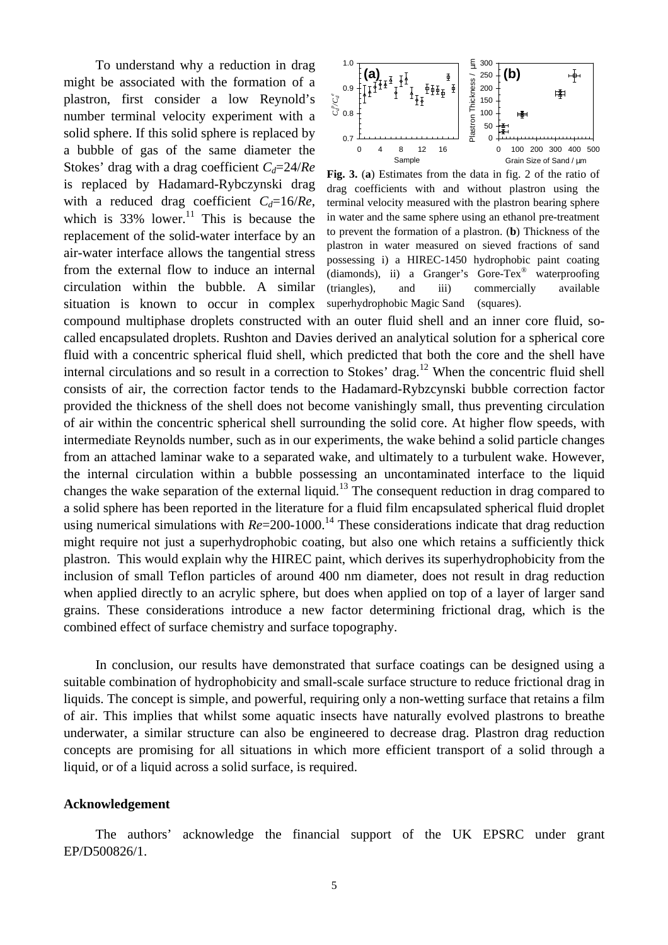To understand why a reduction in drag might be associated with the formation of a plastron, first consider a low Reynold's number terminal velocity experiment with a solid sphere. If this solid sphere is replaced by a bubble of gas of the same diameter the Stokes' drag with a drag coefficient *Cd*=24/*Re* is replaced by Hadamard-Rybczynski drag with a reduced drag coefficient *Cd*=16/*Re*, which is  $33\%$  lower.<sup>11</sup> This is because the replacement of the solid-water interface by an air-water interface allows the tangential stress from the external flow to induce an internal circulation within the bubble. A similar situation is known to occur in complex



**Fig. 3.** (**a**) Estimates from the data in fig. 2 of the ratio of drag coefficients with and without plastron using the terminal velocity measured with the plastron bearing sphere in water and the same sphere using an ethanol pre-treatment to prevent the formation of a plastron. (**b**) Thickness of the plastron in water measured on sieved fractions of sand possessing i) a HIREC-1450 hydrophobic paint coating (diamonds), ii) a Granger's Gore-Tex® waterproofing (triangles), and iii) commercially available superhydrophobic Magic Sand<sup>TM</sup> (squares).

compound multiphase droplets constructed with an outer fluid shell and an inner core fluid, socalled encapsulated droplets. Rushton and Davies derived an analytical solution for a spherical core fluid with a concentric spherical fluid shell, which predicted that both the core and the shell have internal circulations and so result in a correction to Stokes' drag.<sup>12</sup> When the concentric fluid shell consists of air, the correction factor tends to the Hadamard-Rybzcynski bubble correction factor provided the thickness of the shell does not become vanishingly small, thus preventing circulation of air within the concentric spherical shell surrounding the solid core. At higher flow speeds, with intermediate Reynolds number, such as in our experiments, the wake behind a solid particle changes from an attached laminar wake to a separated wake, and ultimately to a turbulent wake. However, the internal circulation within a bubble possessing an uncontaminated interface to the liquid changes the wake separation of the external liquid.<sup>13</sup> The consequent reduction in drag compared to a solid sphere has been reported in the literature for a fluid film encapsulated spherical fluid droplet using numerical simulations with  $Re=200-1000$ <sup>14</sup> These considerations indicate that drag reduction might require not just a superhydrophobic coating, but also one which retains a sufficiently thick plastron. This would explain why the HIREC paint, which derives its superhydrophobicity from the inclusion of small Teflon particles of around 400 nm diameter, does not result in drag reduction when applied directly to an acrylic sphere, but does when applied on top of a layer of larger sand grains. These considerations introduce a new factor determining frictional drag, which is the combined effect of surface chemistry and surface topography.

In conclusion, our results have demonstrated that surface coatings can be designed using a suitable combination of hydrophobicity and small-scale surface structure to reduce frictional drag in liquids. The concept is simple, and powerful, requiring only a non-wetting surface that retains a film of air. This implies that whilst some aquatic insects have naturally evolved plastrons to breathe underwater, a similar structure can also be engineered to decrease drag. Plastron drag reduction concepts are promising for all situations in which more efficient transport of a solid through a liquid, or of a liquid across a solid surface, is required.

#### **Acknowledgement**

The authors' acknowledge the financial support of the UK EPSRC under grant EP/D500826/1.